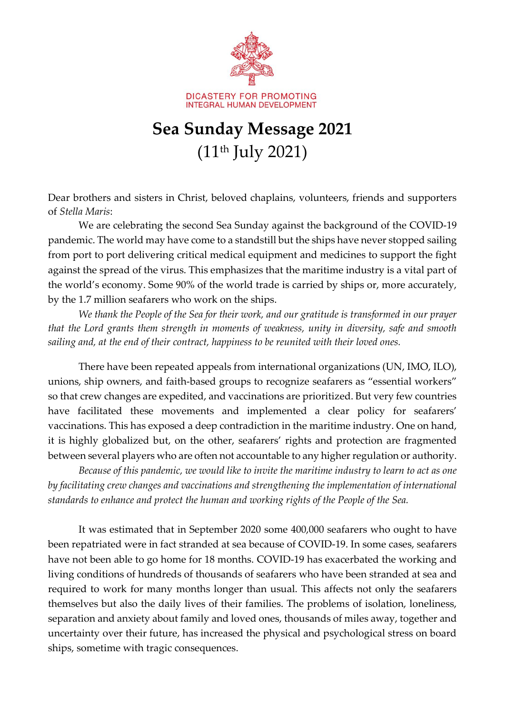

## **Sea Sunday Message 2021** (11th July 2021)

Dear brothers and sisters in Christ, beloved chaplains, volunteers, friends and supporters of *Stella Maris*:

We are celebrating the second Sea Sunday against the background of the COVID-19 pandemic. The world may have come to a standstill but the ships have never stopped sailing from port to port delivering critical medical equipment and medicines to support the fight against the spread of the virus. This emphasizes that the maritime industry is a vital part of the world's economy. Some 90% of the world trade is carried by ships or, more accurately, by the 1.7 million seafarers who work on the ships.

*We thank the People of the Sea for their work, and our gratitude is transformed in our prayer that the Lord grants them strength in moments of weakness, unity in diversity, safe and smooth sailing and, at the end of their contract, happiness to be reunited with their loved ones.* 

There have been repeated appeals from international organizations (UN, IMO, ILO), unions, ship owners, and faith-based groups to recognize seafarers as "essential workers" so that crew changes are expedited, and vaccinations are prioritized. But very few countries have facilitated these movements and implemented a clear policy for seafarers' vaccinations. This has exposed a deep contradiction in the maritime industry. One on hand, it is highly globalized but, on the other, seafarers' rights and protection are fragmented between several players who are often not accountable to any higher regulation or authority.

*Because of this pandemic, we would like to invite the maritime industry to learn to act as one by facilitating crew changes and vaccinations and strengthening the implementation of international standards to enhance and protect the human and working rights of the People of the Sea.* 

It was estimated that in September 2020 some 400,000 seafarers who ought to have been repatriated were in fact stranded at sea because of COVID-19. In some cases, seafarers have not been able to go home for 18 months. COVID-19 has exacerbated the working and living conditions of hundreds of thousands of seafarers who have been stranded at sea and required to work for many months longer than usual. This affects not only the seafarers themselves but also the daily lives of their families. The problems of isolation, loneliness, separation and anxiety about family and loved ones, thousands of miles away, together and uncertainty over their future, has increased the physical and psychological stress on board ships, sometime with tragic consequences.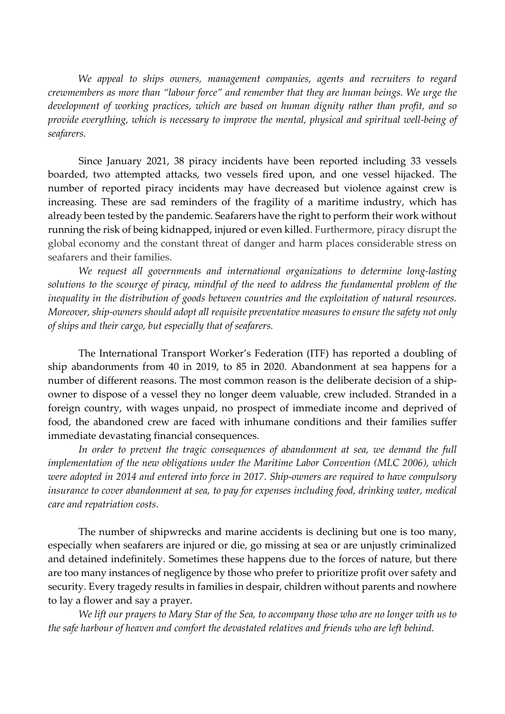*We appeal to ships owners, management companies, agents and recruiters to regard crewmembers as more than "labour force" and remember that they are human beings. We urge the development of working practices, which are based on human dignity rather than profit, and so provide everything, which is necessary to improve the mental, physical and spiritual well-being of seafarers.*

Since January 2021, 38 piracy incidents have been reported including 33 vessels boarded, two attempted attacks, two vessels fired upon, and one vessel hijacked. The number of reported piracy incidents may have decreased but violence against crew is increasing. These are sad reminders of the fragility of a maritime industry, which has already been tested by the pandemic. Seafarers have the right to perform their work without running the risk of being kidnapped, injured or even killed. Furthermore, piracy disrupt the global economy and the constant threat of danger and harm places considerable stress on seafarers and their families.

*We request all governments and international organizations to determine long-lasting solutions to the scourge of piracy, mindful of the need to address the fundamental problem of the inequality in the distribution of goods between countries and the exploitation of natural resources. Moreover, ship-owners should adopt all requisite preventative measures to ensure the safety not only of ships and their cargo, but especially that of seafarers.*

The International Transport Worker's Federation (ITF) has reported a doubling of ship abandonments from 40 in 2019, to 85 in 2020. Abandonment at sea happens for a number of different reasons. The most common reason is the deliberate decision of a shipowner to dispose of a vessel they no longer deem valuable, crew included. Stranded in a foreign country, with wages unpaid, no prospect of immediate income and deprived of food, the abandoned crew are faced with inhumane conditions and their families suffer immediate devastating financial consequences.

In order to prevent the tragic consequences of abandonment at sea, we demand the full *implementation of the new obligations under the Maritime Labor Convention (MLC 2006), which were adopted in 2014 and entered into force in 2017. Ship-owners are required to have compulsory insurance to cover abandonment at sea, to pay for expenses including food, drinking water, medical care and repatriation costs.*

The number of shipwrecks and marine accidents is declining but one is too many, especially when seafarers are injured or die, go missing at sea or are unjustly criminalized and detained indefinitely. Sometimes these happens due to the forces of nature, but there are too many instances of negligence by those who prefer to prioritize profit over safety and security. Every tragedy results in families in despair, children without parents and nowhere to lay a flower and say a prayer.

*We lift our prayers to Mary Star of the Sea, to accompany those who are no longer with us to the safe harbour of heaven and comfort the devastated relatives and friends who are left behind.*